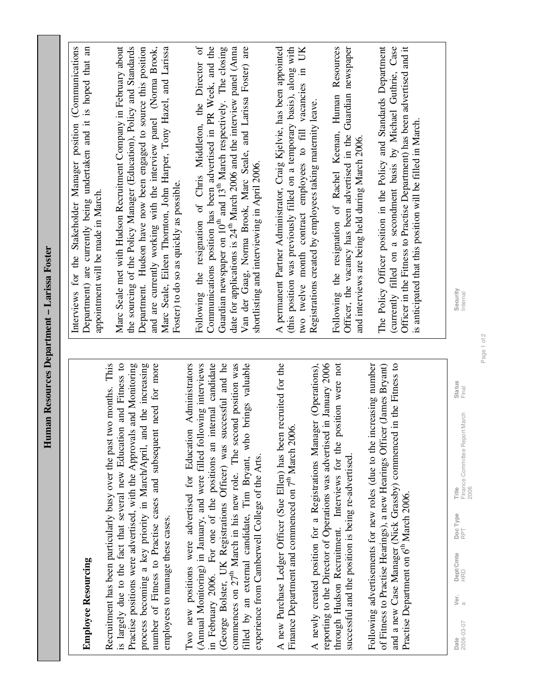| <b>Employee Resourcing</b>                                                                                                                                                                                                                                                     | Interviews for the Stakeholder Manager position (Communications<br>Department) are currently being undertaken and it is hoped that an<br>appointment will be made in March.                                                                                                       |
|--------------------------------------------------------------------------------------------------------------------------------------------------------------------------------------------------------------------------------------------------------------------------------|-----------------------------------------------------------------------------------------------------------------------------------------------------------------------------------------------------------------------------------------------------------------------------------|
| is largely due to the fact that several new Education and Fitness to<br>two months. This<br>Practise positions were advertised, with the Approvals and Monitoring<br>Recruitment has been particularly busy over the past                                                      | Marc Seale met with Hudson Recruitment Company in February about<br>the sourcing of the Policy Manager (Education), Policy and Standards                                                                                                                                          |
| process becoming a key priority in March/April, and the increasing<br>number of Fitness to Practise cases and subsequent need for more<br>employees to manage these cases.                                                                                                     | and are currently working with the interview panel (Norma Brook,<br>Department. Hudson have now been engaged to source this position<br>Marc Seale, Eileen Thornton, John Harper, Tony Hazel, and Larissa                                                                         |
| (George Bolster, UK Registrations Officer) was successful and he<br>in February 2006. For one of the positions an internal candidate<br>(Annual Monitoring) in January, and were filled following interviews<br>Two new positions were advertised for Education Administrators | Following the resignation of Chris Middleton, the Director of<br>Communications position has been advertised in PR Week, and the<br>Guardian newspaper on 10 <sup>th</sup> and 13 <sup>th</sup> March respectively. The closing<br>Foster) to do so as quickly as possible.       |
| commences on 27 <sup>th</sup> March in his new role. The second position was<br>filled by an external candidate, Tim Bryant, who brings valuable<br>experience from Camberwell College of the Arts.                                                                            | date for applications is 24 <sup>th</sup> March 2006 and the interview panel (Anna<br>Van der Gaag, Norma Brook, Marc Seale, and Larissa Foster) are<br>shortlisting and interviewing in April 2006.                                                                              |
| A new Purchase Ledger Officer (Sue Ellen) has been recruited for the<br>Finance Department and commenced on 7 <sup>th</sup> March 2006.                                                                                                                                        | (this position was previously filled on a temporary basis), along with<br>A permanent Partner Administrator, Craig Kjelvie, has been appointed<br>two twelve month contract employees to fill vacancies in UK                                                                     |
| A newly created position for a Registrations Manager (Operations),<br>reporting to the Director of Operations was advertised in January 2006                                                                                                                                   | Registrations created by employees taking maternity leave.                                                                                                                                                                                                                        |
| through Hudson Recruitment. Interviews for the position were not<br>successful and the position is being re-advertised                                                                                                                                                         | Officer, the vacancy has been advertised in the Guardian newspaper<br>Following the resignation of Rachel Keenan, Human Resources<br>and interviews are being held during March 2006.                                                                                             |
| Following advertisements for new roles (due to the increasing number<br>and a new Case Manager (Nick Grassby) commenced in the Fitness to<br>of Fitness to Practise Hearings), a new Hearings Officer (James Bryant)<br>Practise Department on 6 <sup>th</sup> March 2006.     | The Policy Officer position in the Policy and Standards Department<br>(currently filled on a secondment basis by Michael Guthrie, Case<br>Officer in the Fitness to Practise Department) has been advertised and it<br>is anticipated that this position will be filled in March. |
|                                                                                                                                                                                                                                                                                |                                                                                                                                                                                                                                                                                   |
| Status<br>Final<br>Finance Committee Report March<br>2006<br>Title<br>Doc Type<br>RPT<br>Dept/Cmte<br>HRD<br>Ver.<br>2006-03-07<br>Date                                                                                                                                        | Security<br>Internal                                                                                                                                                                                                                                                              |

Human Resources Department - Larissa Foster **Human Resources Department – Larissa Foster** 

Page 1 of 2 Page 1 of 2